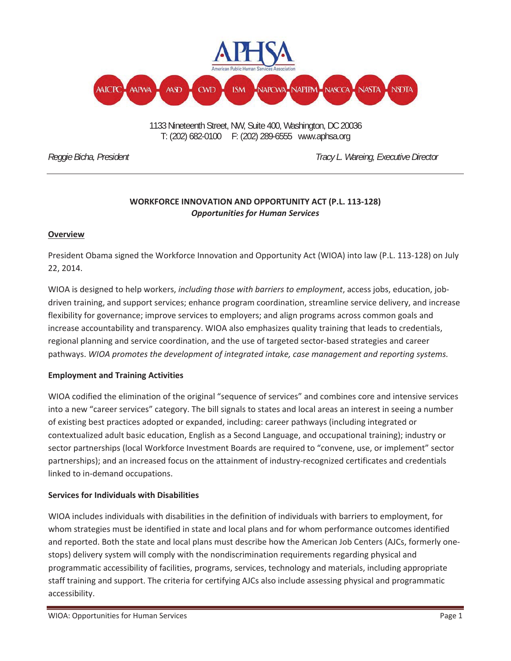

 T: (202) 682-0100 F: (202) 289-6555 [www.aphsa.org](http://www.aphsa.org) 1133 Nineteenth Street, NW, Suite 400, Washington, DC 20036

*Reggie Bicha, President Tracy L. Wareing, Executive Director* 

## **WORKFORCE INNOVATION AND OPPORTUNITY ACT (P.L. 113Ͳ128)** *Opportunities for Human Services*

### **Overview**

President Obama signed the Workforce Innovation and Opportunity Act (WIOA) into law (P.L. 113-128) on July 22, 2014.

WIOA is designed to help workers, *including those with barriers to employment*, access jobs, education, jobdriven training, and support services; enhance program coordination, streamline service delivery, and increase flexibility for governance; improve services to employers; and align programs across common goals and increase accountability and transparency. WIOA also emphasizes quality training that leads to credentials, regional planning and service coordination, and the use of targeted sector-based strategies and career pathways. *WIOA promotes the development of integrated intake, case management and reporting systems.*

#### **Employment and Training Activities**

WIOA codified the elimination of the original "sequence of services" and combines core and intensive services into a new "career services" category. The bill signals to states and local areas an interest in seeing a number of existing best practices adopted or expanded, including: career pathways (including integrated or contextualized adult basic education, English as a Second Language, and occupational training); industry or sector partnerships (local Workforce Investment Boards are required to "convene, use, or implement" sector partnerships); and an increased focus on the attainment of industry-recognized certificates and credentials linked to in-demand occupations.

### **Services for Individuals with Disabilities**

WIOA includes individuals with disabilities in the definition of individuals with barriers to employment, for whom strategies must be identified in state and local plans and for whom performance outcomes identified and reported. Both the state and local plans must describe how the American Job Centers (AJCs, formerly onestops) delivery system will comply with the nondiscrimination requirements regarding physical and programmatic accessibility of facilities, programs, services, technology and materials, including appropriate staff training and support. The criteria for certifying AJCs also include assessing physical and programmatic accessibility.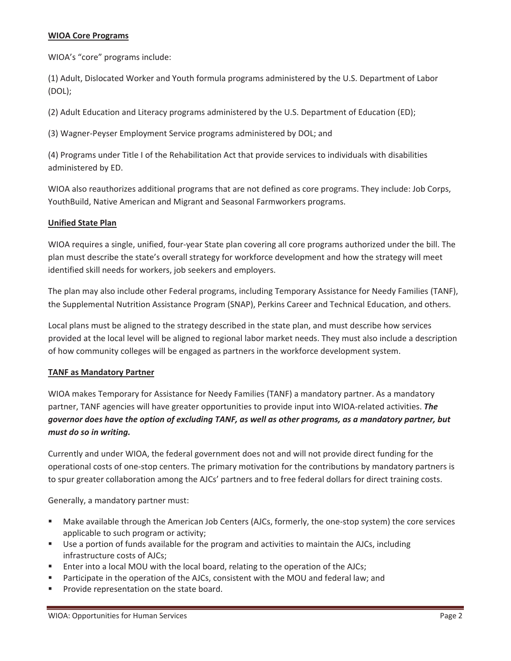#### **WIOA Core Programs**

WIOA's "core" programs include:

(1) Adult, Dislocated Worker and Youth formula programs administered by the U.S. Department of Labor (DOL);

(2) Adult Education and Literacy programs administered by the U.S. Department of Education (ED);

(3) Wagner-Peyser Employment Service programs administered by DOL; and

(4) Programs under Title I of the Rehabilitation Act that provide services to individuals with disabilities administered by ED.

WIOA also reauthorizes additional programs that are not defined as core programs. They include: Job Corps, YouthBuild, Native American and Migrant and Seasonal Farmworkers programs.

#### **Unified State Plan**

WIOA requires a single, unified, four-year State plan covering all core programs authorized under the bill. The plan must describe the state's overall strategy for workforce development and how the strategy will meet identified skill needs for workers, job seekers and employers.

The plan may also include other Federal programs, including Temporary Assistance for Needy Families (TANF), the Supplemental Nutrition Assistance Program (SNAP), Perkins Career and Technical Education, and others.

Local plans must be aligned to the strategy described in the state plan, and must describe how services provided at the local level will be aligned to regional labor market needs. They must also include a description of how community colleges will be engaged as partners in the workforce development system.

#### **TANF as Mandatory Partner**

WIOA makes Temporary for Assistance for Needy Families (TANF) a mandatory partner. As a mandatory partner, TANF agencies will have greater opportunities to provide input into WIOA-related activities. The governor does have the option of excluding TANF, as well as other programs, as a mandatory partner, but *must do so in writing.*

Currently and under WIOA, the federal government does not and will not provide direct funding for the operational costs of one-stop centers. The primary motivation for the contributions by mandatory partners is to spur greater collaboration among the AJCs' partners and to free federal dollars for direct training costs.

Generally, a mandatory partner must:

- Make available through the American Job Centers (AJCs, formerly, the one-stop system) the core services applicable to such program or activity;
- Use a portion of funds available for the program and activities to maintain the AJCs, including infrastructure costs of AJCs;
- Enter into a local MOU with the local board, relating to the operation of the AJCs;
- **Participate in the operation of the AJCs, consistent with the MOU and federal law; and**
- **Provide representation on the state board.**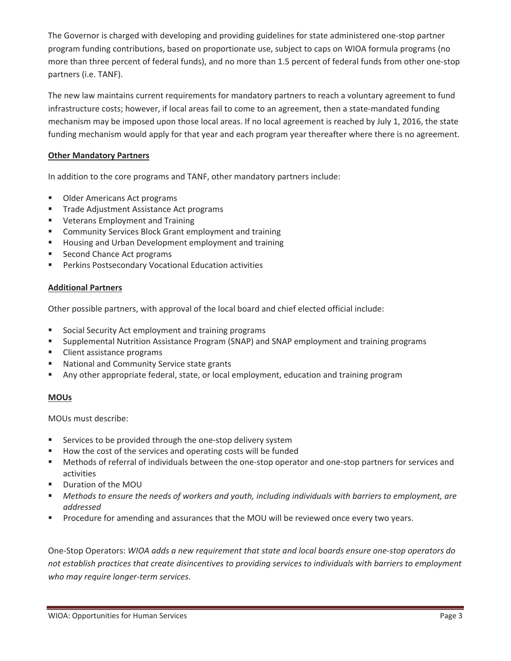The Governor is charged with developing and providing guidelines for state administered one-stop partner program funding contributions, based on proportionate use, subject to caps on WIOA formula programs (no more than three percent of federal funds), and no more than 1.5 percent of federal funds from other one-stop partners (i.e. TANF).

The new law maintains current requirements for mandatory partners to reach a voluntary agreement to fund infrastructure costs; however, if local areas fail to come to an agreement, then a state-mandated funding mechanism may be imposed upon those local areas. If no local agreement is reached by July 1, 2016, the state funding mechanism would apply for that year and each program year thereafter where there is no agreement.

#### **Other Mandatory Partners**

In addition to the core programs and TANF, other mandatory partners include:

- **Older Americans Act programs**
- **Trade Adjustment Assistance Act programs**
- **Veterans Employment and Training**
- **E** Community Services Block Grant employment and training
- **Housing and Urban Development employment and training**
- **Second Chance Act programs**
- Perkins Postsecondary Vocational Education activities

#### **Additional Partners**

Other possible partners, with approval of the local board and chief elected official include:

- **Social Security Act employment and training programs**
- **Supplemental Nutrition Assistance Program (SNAP) and SNAP employment and training programs**
- **Client assistance programs**
- **National and Community Service state grants**
- Any other appropriate federal, state, or local employment, education and training program

#### **MOUs**

MOUs must describe:

- Services to be provided through the one-stop delivery system
- How the cost of the services and operating costs will be funded
- Methods of referral of individuals between the one-stop operator and one-stop partners for services and activities
- Duration of the MOU
- *Methods to ensure the needs of workers and youth, including individuals with barriers to employment, are addressed*
- **Procedure for amending and assurances that the MOU will be reviewed once every two years.**

OneͲStop Operators: *WIOA adds a new requirement that state and local boards ensure oneͲstop operators do not establish practices that create disincentives to providing services to individuals with barriers to employment*  $$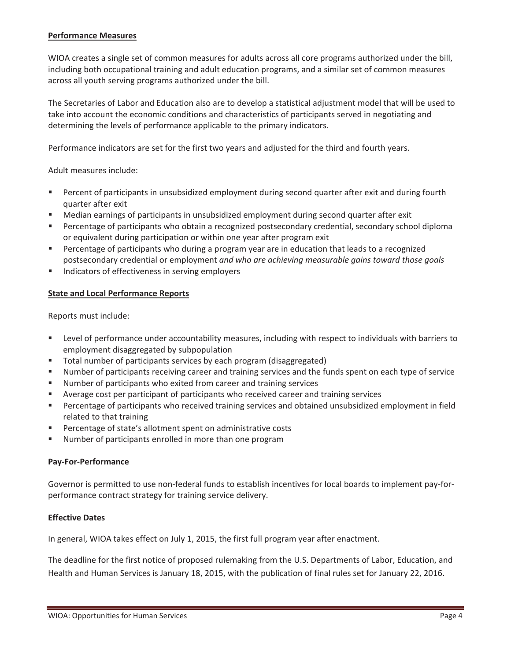#### **Performance Measures**

WIOA creates a single set of common measures for adults across all core programs authorized under the bill, including both occupational training and adult education programs, and a similar set of common measures across all youth serving programs authorized under the bill.

The Secretaries of Labor and Education also are to develop a statistical adjustment model that will be used to take into account the economic conditions and characteristics of participants served in negotiating and determining the levels of performance applicable to the primary indicators.

Performance indicators are set for the first two years and adjusted for the third and fourth years.

Adult measures include:

- Percent of participants in unsubsidized employment during second quarter after exit and during fourth quarter after exit
- Median earnings of participants in unsubsidized employment during second quarter after exit
- Percentage of participants who obtain a recognized postsecondary credential, secondary school diploma or equivalent during participation or within one year after program exit
- Percentage of participants who during a program year are in education that leads to a recognized postsecondary credential or employment *and who are achieving measurable gains toward those goals*
- **Indicators of effectiveness in serving employers**

#### **State and Local Performance Reports**

Reports must include:

- Level of performance under accountability measures, including with respect to individuals with barriers to employment disaggregated by subpopulation
- **Total number of participants services by each program (disaggregated)**
- Number of participants receiving career and training services and the funds spent on each type of service
- Number of participants who exited from career and training services
- Average cost per participant of participants who received career and training services
- Percentage of participants who received training services and obtained unsubsidized employment in field related to that training
- Percentage of state's allotment spent on administrative costs
- Number of participants enrolled in more than one program

#### **PayͲForͲPerformance**

Governor is permitted to use non-federal funds to establish incentives for local boards to implement pay-forperformance contract strategy for training service delivery.

#### **Effective Dates**

In general, WIOA takes effect on July 1, 2015, the first full program year after enactment.

The deadline for the first notice of proposed rulemaking from the U.S. Departments of Labor, Education, and Health and Human Services is January 18, 2015, with the publication of final rules set for January 22, 2016.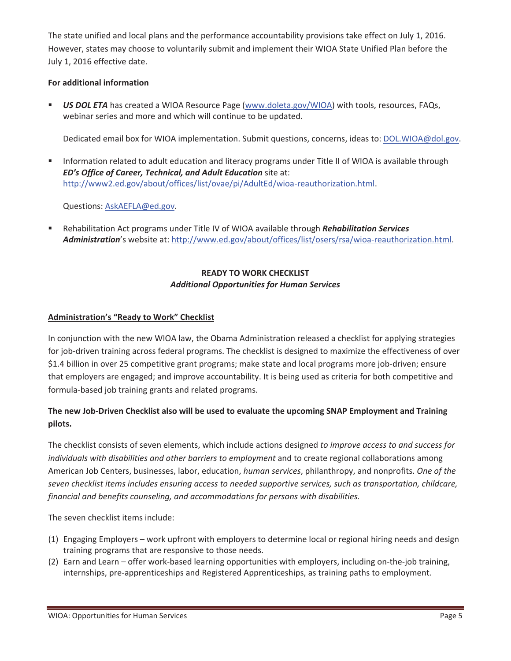The state unified and local plans and the performance accountability provisions take effect on July 1, 2016. However, states may choose to voluntarily submit and implement their WIOA State Unified Plan before the July 1, 2016 effective date.

### **For additional information**

 *US DOL ETA* has created a WIOA Resource Page [\(www.doleta.gov/WIOA\)](www.doleta.gov/WIOA) with tools, resources, FAQs, webinar series and more and which will continue to be updated.

Dedicated email box for WIOA implementation. Submit questions, concerns, ideas to: [DOL.WIOA@dol.gov.](mailto:DOL.WIOA@dol.gov)

 Information related to adult education and literacy programs under Title II of WIOA is available through *ED's Office of Career, Technical, and Adult Education* site at: [http://www2.ed.gov/about/offices/list/ovae/pi/AdultEd/wioa](http://www2.ed.gov/about/offices/list/ovae/pi/AdultED/wioa-reauthorization.html)-reauthorization.html.

Questions: [AskAEFLA@ed.gov](mailto:AskAEFLA@ed.gov).

 Rehabilitation Act programs under Title IV of WIOA available through *Rehabilitation Services* Administration's website at: [http://www.ed.gov/about/offices/list/osers/rsa/wioa](http://www.ed.gov/about/offices/list/osers/rsa/wioa-reauthorization.html)-reauthorization.html.

### **READY TO WORK CHECKLIST** *Additional Opportunities for Human Services*

#### **Administration's "Ready to Work" Checklist**

In conjunction with the new WIOA law, the Obama Administration released a checklist for applying strategies for job-driven training across federal programs. The checklist is designed to maximize the effectiveness of over \$1.4 billion in over 25 competitive grant programs; make state and local programs more job-driven; ensure that employers are engaged; and improve accountability. It is being used as criteria for both competitive and formula-based job training grants and related programs.

# The new Job-Driven Checklist also will be used to evaluate the upcoming SNAP Employment and Training **pilots.**

The checklist consists of seven elements, which include actions designed *to improve access to and success for individuals with disabilities and other barriers to employment* and to create regional collaborations among American Job Centers, businesses, labor, education, *human services*, philanthropy, and nonprofits. *One of the seven checklist items includes ensuring access to needed supportive services, such as transportation, childcare, financial and benefits counseling, and accommodations for persons with disabilities.*

The seven checklist items include:

- (1) Engaging Employers work upfront with employers to determine local or regional hiring needs and design training programs that are responsive to those needs.
- (2) Earn and Learn offer work-based learning opportunities with employers, including on-the-job training, internships, pre-apprenticeships and Registered Apprenticeships, as training paths to employment.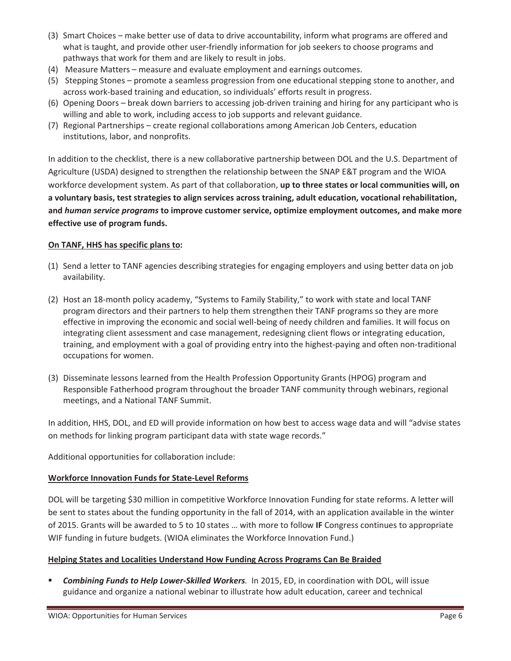- (3) Smart Choices make better use of data to drive accountability, inform what programs are offered and what is taught, and provide other user-friendly information for job seekers to choose programs and pathways that work for them and are likely to result in jobs.
- (4) Measure Matters measure and evaluate employment and earnings outcomes.
- (5) Stepping Stones promote a seamless progression from one educational stepping stone to another, and across work-based training and education, so individuals' efforts result in progress.
- (6) Opening Doors break down barriers to accessing job-driven training and hiring for any participant who is willing and able to work, including access to job supports and relevant guidance.
- (7) Regional Partnerships create regional collaborations among American Job Centers, education institutions, labor, and nonprofits.

In addition to the checklist, there is a new collaborative partnership between DOL and the U.S. Department of Agriculture (USDA) designed to strengthen the relationship between the SNAP E&T program and the WIOA workforce development system. As part of that collaboration, **up to three states or local communities will, on a voluntary basis, test strategies to align services across training, adult education, vocational rehabilitation, and** *human service programs* **to improve customer service, optimize employment outcomes, and make more effective use of program funds.**

#### **On TANF, HHS has specific plans to:**

- (1) Send a letter to TANF agencies describing strategies for engaging employers and using better data on job availability.
- (2) Host an 18-month policy academy, "Systems to Family Stability," to work with state and local TANF program directors and their partners to help them strengthen their TANF programs so they are more effective in improving the economic and social well-being of needy children and families. It will focus on integrating client assessment and case management, redesigning client flows or integrating education, training, and employment with a goal of providing entry into the highest-paying and often non-traditional occupations for women.
- (3) Disseminate lessons learned from the Health Profession Opportunity Grants (HPOG) program and Responsible Fatherhood program throughout the broader TANF community through webinars, regional meetings, and a National TANF Summit.

In addition, HHS, DOL, and ED will provide information on how best to access wage data and will "advise states on methods for linking program participant data with state wage records."

Additional opportunities for collaboration include:

#### **Workforce Innovation Funds for State-Level Reforms**

DOL will be targeting \$30 million in competitive Workforce Innovation Funding for state reforms. A letter will be sent to states about the funding opportunity in the fall of 2014, with an application available in the winter of 2015. Grants will be awarded to 5 to 10 states … with more to follow **IF** Congress continues to appropriate WIF funding in future budgets. (WIOA eliminates the Workforce Innovation Fund.)

#### **Helping States and Localities Understand How Funding Across Programs Can Be Braided**

**F** *Combining Funds to Help Lower-Skilled Workers.* In 2015, ED, in coordination with DOL, will issue guidance and organize a national webinar to illustrate how adult education, career and technical